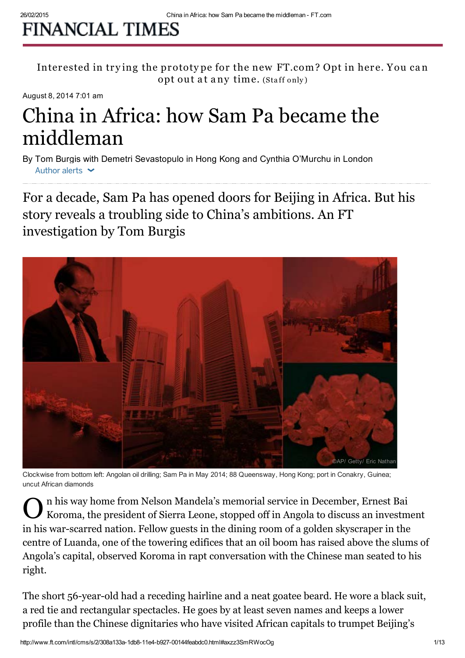## **FINANCIAL TIMES**

Interested in trying the prototype for the new FT.com? Opt in here. You can opt out at any time. (Staff only)

August 8, 2014 7:01 am

# China in Africa: how Sam Pa became the middleman

By Tom Burgis with Demetri Sevastopulo in Hong Kong and Cynthia O'Murchu in London Author alerts  $\sim$ 

For a decade, Sam Pa has opened doors for Beijing in Africa. But his story reveals a troubling side to China's ambitions. An FT investigation by Tom Burgis



Clockwise from bottom left: Angolan oil drilling; Sam Pa in May 2014; 88 Queensway, Hong Kong; port in Conakry, Guinea; uncut African diamonds

On his way home from Nelson Mandela's memorial service in December, Ernest Bai Koroma, the president of Sierra Leone, stopped off in Angola to discuss an investment of Koroma, the president of Sierra Leone, stopped off in Angola to discuss an investment in his war-scarred nation. Fellow guests in the dining room of a golden skyscraper in the centre of Luanda, one of the towering edifices that an oil boom has raised above the slums of Angola's capital, observed Koroma in rapt conversation with the Chinese man seated to his right.

The short 56-year-old had a receding hairline and a neat goatee beard. He wore a black suit, a red tie and rectangular spectacles. He goes by at least seven names and keeps a lower profile than the Chinese dignitaries who have visited African capitals to trumpet Beijing's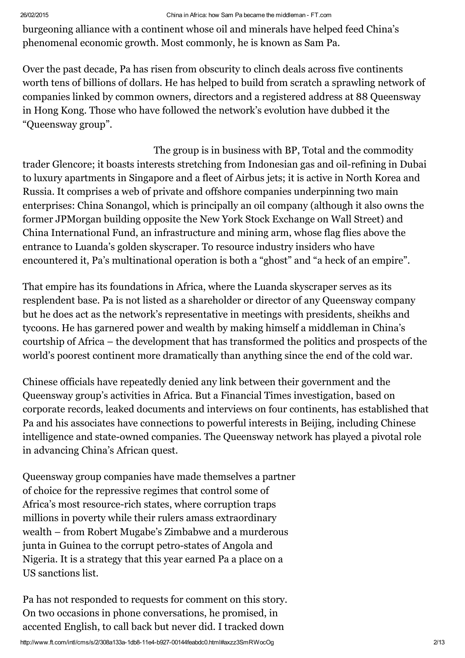burgeoning alliance with a continent whose oil and minerals have helped feed China's phenomenal economic growth. Most commonly, he is known as Sam Pa.

Over the past decade, Pa has risen from obscurity to clinch deals across five continents worth tens of billions of dollars. He has helped to build from scratch a sprawling network of companies linked by common owners, directors and a registered address at 88 [Queensway](http://www.ft.com/cms/s/0/22bb91d2-c5f6-11e1-b57e-00144feabdc0.html?siteedition=uk) in Hong Kong. Those who have followed the network's evolution have dubbed it the "Queensway group".

The group is in business with BP, Total and the commodity trader Glencore; it boasts interests stretching from Indonesian gas and oil-refining in Dubai to luxury apartments in Singapore and a fleet of Airbus jets; it is active in North Korea and Russia. It comprises a web of private and offshore companies underpinning two main enterprises: China Sonangol, which is principally an oil company (although it also owns the former JPMorgan building opposite the New York Stock Exchange on Wall Street) and China International Fund, an infrastructure and mining arm, whose flag flies above the entrance to Luanda's golden skyscraper. To resource industry insiders who have encountered it, Pa's multinational operation is both a "ghost" and "a heck of an empire".

That empire has its foundations in Africa, where the Luanda skyscraper serves as its resplendent base. Pa is not listed as a shareholder or director of any Queensway company but he does act as the network's representative in meetings with presidents, sheikhs and tycoons. He has garnered power and wealth by making himself a middleman in China's courtship of Africa – the development that has transformed the politics and prospects of the world's poorest continent more dramatically than anything since the end of the cold war.

Chinese officials have repeatedly denied any link between their government and the Queensway group's activities in Africa. But a Financial Times investigation, based on corporate records, leaked documents and interviews on four continents, has established that Pa and his associates have connections to powerful interests in Beijing, including Chinese intelligence and state-owned companies. The Queensway network has played a pivotal role in advancing China's African quest.

Queensway group companies have made themselves a partner of choice for the repressive regimes that control some of Africa's most resource-rich states, where corruption traps millions in poverty while their rulers amass extraordinary wealth – from Robert Mugabe's Zimbabwe and a murderous junta in Guinea to the corrupt petro-states of [Angola](http://www.ft.com/cms/s/0/4c773f3a-e430-11e3-8565-00144feabdc0.html) and Nigeria. It is a strategy that this year earned Pa a place on a US sanctions list.

Pa has not responded to requests for comment on this story. On two occasions in phone conversations, he promised, in accented English, to call back but never did. I tracked down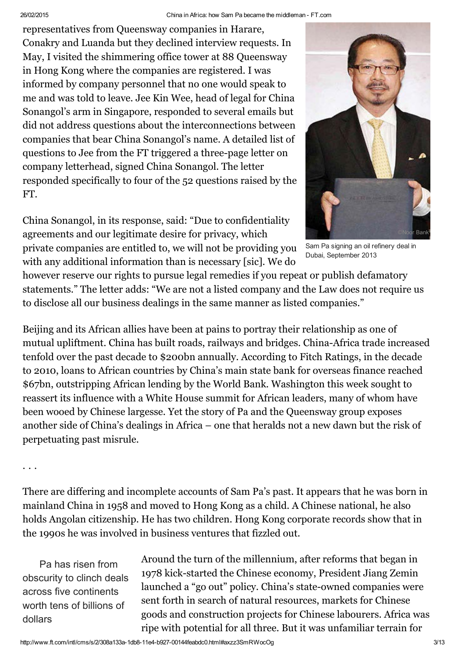representatives from Queensway companies in Harare, Conakry and Luanda but they declined interview requests. In May, I visited the shimmering office tower at 88 Queensway in Hong Kong where the companies are registered. I was informed by company personnel that no one would speak to me and was told to leave. Jee Kin Wee, head of legal for China Sonangol's arm in Singapore, responded to several emails but did not address questions about the interconnections between companies that bear China Sonangol's name. A detailed list of questions to Jee from the FT triggered a [three-page](http://im.ft-static.com/content/images/f45e2f26-1cff-11e4-b4c7-00144feabdc0.pdf) letter on company letterhead, signed China Sonangol. The letter responded specifically to four of the 52 questions raised by the FT.

China Sonangol, in its response, said: "Due to confidentiality agreements and our legitimate desire for privacy, which private companies are entitled to, we will not be providing you with any additional information than is necessary [sic]. We do



Sam Pa signing an oil refinery deal in Dubai, September 2013

however reserve our rights to pursue legal remedies if you repeat or publish defamatory statements." The letter adds: "We are not a listed company and the Law does not require us to disclose all our business dealings in the same manner as listed companies."

Beijing and its African allies have been at pains to portray their relationship as one of mutual upliftment. China has built roads, railways and bridges. China-Africa trade increased tenfold over the past decade to \$200bn annually. According to Fitch Ratings, in the decade to 2010, loans to African countries by China's main state bank for overseas finance reached \$67bn, outstripping African lending by the World Bank. Washington this week sought to reassert its influence with a White House summit for African leaders, many of whom have been wooed by Chinese largesse. Yet the story of Pa and the Queensway group exposes another side of China's dealings in Africa – one that heralds not a new dawn but the risk of perpetuating past misrule.

## . . .

There are differing and incomplete accounts of Sam Pa's past. It appears that he was born in mainland China in 1958 and moved to Hong Kong as a child. A Chinese national, he also holds Angolan citizenship. He has two children. Hong Kong corporate records show that in the 1990s he was involved in business ventures that fizzled out.

Pa has risen from obscurity to clinch deals across five continents worth tens of billions of dollars

Around the turn of the millennium, after reforms that began in 1978 kick-started the Chinese economy, President Jiang Zemin launched a "go out" policy. China's state-owned companies were sent forth in search of natural resources, markets for Chinese goods and construction projects for Chinese labourers. Africa was ripe with potential for all three. But it was unfamiliar terrain for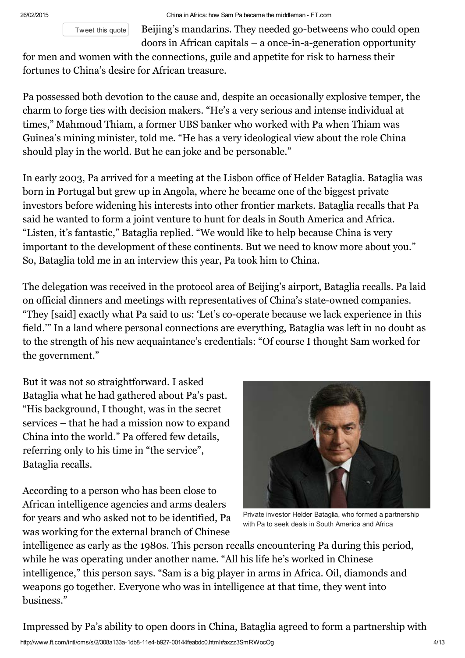[Tweet](javascript:void(0)) this quote

Beijing's mandarins. They needed go-betweens who could open doors in African capitals – a once-in-a-generation opportunity

for men and women with the connections, guile and appetite for risk to harness their fortunes to China's desire for African treasure.

Pa possessed both devotion to the cause and, despite an occasionally explosive temper, the charm to forge ties with decision makers. "He's a very serious and intense individual at times," Mahmoud Thiam, a former UBS banker who worked with Pa when Thiam was Guinea's mining minister, told me. "He has a very ideological view about the role China should play in the world. But he can joke and be personable."

In early 2003, Pa arrived for a meeting at the Lisbon office of Helder Bataglia. Bataglia was born in Portugal but grew up in Angola, where he became one of the biggest private investors before widening his interests into other frontier markets. Bataglia recalls that Pa said he wanted to form a joint venture to hunt for deals in South America and Africa. "Listen, it's fantastic," Bataglia replied. "We would like to help because China is very important to the development of these continents. But we need to know more about you." So, Bataglia told me in an interview this year, Pa took him to China.

The delegation was received in the protocol area of Beijing's airport, Bataglia recalls. Pa laid on official dinners and meetings with representatives of China's state-owned companies. "They [said] exactly what Pa said to us: 'Let's co-operate because we lack experience in this field.'" In a land where personal connections are everything, Bataglia was left in no doubt as to the strength of his new acquaintance's credentials: "Of course I thought Sam worked for the government."

But it was not so straightforward. I asked Bataglia what he had gathered about Pa's past. "His background, I thought, was in the secret services – that he had a mission now to expand China into the world." Pa offered few details, referring only to his time in "the service", Bataglia recalls.

According to a person who has been close to African intelligence agencies and arms dealers for years and who asked not to be identified, Pa was working for the external branch of Chinese



Private investor Helder Bataglia, who formed a partnership with Pa to seek deals in South America and Africa

intelligence as early as the 1980s. This person recalls encountering Pa during this period, while he was operating under another name. "All his life he's worked in Chinese intelligence," this person says. "Sam is a big player in arms in Africa. Oil, diamonds and weapons go together. Everyone who was in intelligence at that time, they went into business."

Impressed by Pa's ability to open doors in China, Bataglia agreed to form a partnership with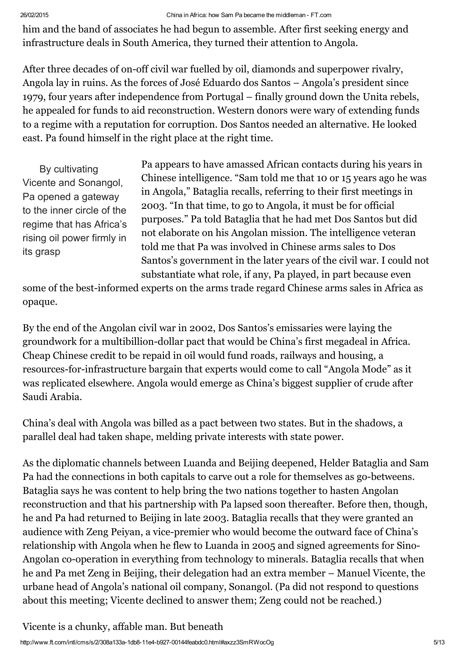him and the band of associates he had begun to assemble. After first seeking energy and infrastructure deals in South America, they turned their attention to Angola.

After three decades of on-off civil war fuelled by oil, diamonds and superpower rivalry, Angola lay in ruins. As the forces of José Eduardo dos Santos – Angola's president since 1979, four years after independence from Portugal – finally ground down the Unita rebels, he appealed for funds to aid reconstruction. Western donors were wary of extending funds to a regime with a reputation for corruption. Dos Santos needed an alternative. He looked east. Pa found himself in the right place at the right time.

By cultivating Vicente and Sonangol, Pa opened a gateway to the inner circle of the regime that has Africa's rising oil power firmly in its grasp

Pa appears to have amassed African contacts during his years in Chinese intelligence. "Sam told me that 10 or 15 years ago he was in Angola," Bataglia recalls, referring to their first meetings in 2003. "In that time, to go to Angola, it must be for official purposes." Pa told Bataglia that he had met Dos Santos but did not elaborate on his Angolan mission. The intelligence veteran told me that Pa was involved in Chinese arms sales to Dos Santos's government in the later years of the civil war. I could not substantiate what role, if any, Pa played, in part because even

some of the best-informed experts on the arms trade regard Chinese arms sales in Africa as opaque.

By the end of the Angolan civil war in 2002, Dos Santos's emissaries were laying the groundwork for a multibillion-dollar pact that would be China's first megadeal in Africa. Cheap Chinese credit to be repaid in oil would fund roads, railways and housing, a resources-for-infrastructure bargain that experts would come to call "Angola Mode" as it was replicated elsewhere. Angola would emerge as China's biggest supplier of crude after Saudi Arabia.

China's deal with Angola was billed as a pact between two states. But in the shadows, a parallel deal had taken shape, melding private interests with state power.

As the diplomatic channels between Luanda and Beijing deepened, Helder Bataglia and Sam Pa had the connections in both capitals to carve out a role for themselves as go-betweens. Bataglia says he was content to help bring the two nations together to hasten Angolan reconstruction and that his partnership with Pa lapsed soon thereafter. Before then, though, he and Pa had returned to Beijing in late 2003. Bataglia recalls that they were granted an audience with Zeng Peiyan, a vice-premier who would become the outward face of China's relationship with Angola when he flew to Luanda in 2005 and signed agreements for Sino-Angolan co-operation in everything from technology to minerals. Bataglia recalls that when he and Pa met Zeng in Beijing, their delegation had an extra member – Manuel Vicente, the urbane head of Angola's national oil company, Sonangol. (Pa did not respond to questions about this meeting; Vicente declined to answer them; Zeng could not be reached.)

Vicente is a chunky, affable man. But beneath

http://www.ft.com/intl/cms/s/2/308a133a-1db8-11e4-b927-00144feabdc0.html#axzz3SmRWocOg 5/13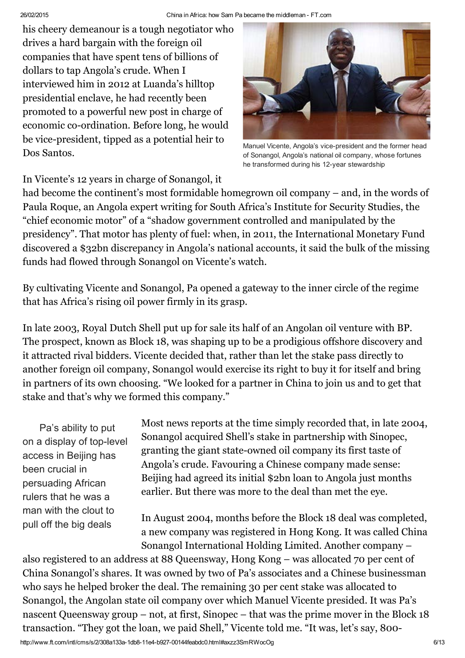his cheery demeanour is a tough negotiator who drives a hard bargain with the foreign oil companies that have spent tens of billions of dollars to tap Angola's crude. When I interviewed him in 2012 at Luanda's hilltop presidential enclave, he had recently been promoted to a powerful new post in charge of economic co-ordination. Before long, he would be vice-president, tipped as a potential heir to Dos Santos.



Manuel Vicente, Angola's vice-president and the former head of Sonangol, Angola's national oil company, whose fortunes he transformed during his 12-year stewardship

In Vicente's 12 years in charge of Sonangol, it

had become the continent's most formidable homegrown oil company – and, in the words of Paula Roque, an Angola expert writing for South Africa's Institute for Security Studies, the "chief economic motor" of a "shadow government controlled and manipulated by the presidency". That motor has plenty of fuel: when, in 2011, the International Monetary Fund discovered a \$32bn discrepancy in Angola's national accounts, it said the bulk of the missing funds had flowed through Sonangol on Vicente's watch.

By cultivating Vicente and Sonangol, Pa opened a gateway to the inner circle of the regime that has Africa's rising oil power firmly in its grasp.

In late 2003, Royal Dutch Shell put up for sale its half of an Angolan oil venture with BP. The prospect, known as Block 18, was shaping up to be a prodigious offshore discovery and it attracted rival bidders. Vicente decided that, rather than let the stake pass directly to another foreign oil company, Sonangol would exercise its right to buy it for itself and bring in partners of its own choosing. "We looked for a partner in China to join us and to get that stake and that's why we formed this company."

Pa's ability to put on a display of top-level access in Beijing has been crucial in persuading African rulers that he was a man with the clout to pull off the big deals

Most news reports at the time simply recorded that, in late 2004, Sonangol acquired Shell's stake in partnership with Sinopec, granting the giant state-owned oil company its first taste of Angola's crude. Favouring a Chinese company made sense: Beijing had agreed its initial \$2bn loan to Angola just months earlier. But there was more to the deal than met the eye.

In August 2004, months before the Block 18 deal was completed, a new company was registered in Hong Kong. It was called China Sonangol International Holding Limited. Another company –

also registered to an address at 88 Queensway, Hong Kong – was allocated 70 per cent of China Sonangol's shares. It was owned by two of Pa's associates and a Chinese businessman who says he helped broker the deal. The remaining 30 per cent stake was allocated to Sonangol, the Angolan state oil company over which Manuel Vicente presided. It was Pa's nascent Queensway group – not, at first, Sinopec – that was the prime mover in the Block 18 transaction. "They got the loan, we paid Shell," Vicente told me. "It was, let's say, 800-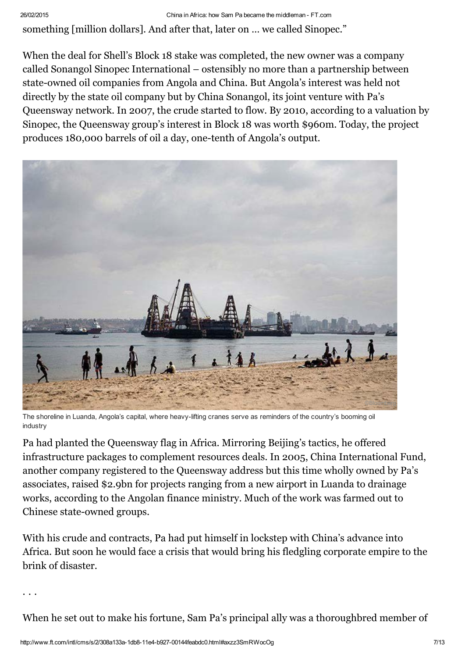## 26/02/2015 China in Africa: how Sam Pa became the middleman - FT.com

something [million dollars]. And after that, later on … we called Sinopec."

When the deal for Shell's Block 18 stake was completed, the new owner was a company called Sonangol Sinopec International – ostensibly no more than a partnership between state-owned oil companies from Angola and China. But Angola's interest was held not directly by the state oil company but by China Sonangol, its joint venture with Pa's Queensway network. In 2007, the crude started to flow. By 2010, according to a valuation by Sinopec, the Queensway group's interest in Block 18 was worth \$960m. Today, the project produces 180,000 barrels of oil a day, one-tenth of Angola's output.



The shoreline in Luanda, Angola's capital, where heavy-lifting cranes serve as reminders of the country's booming oil industry

Pa had planted the Queensway flag in Africa. Mirroring Beijing's tactics, he offered infrastructure packages to complement resources deals. In 2005, China International Fund, another company registered to the Queensway address but this time wholly owned by Pa's associates, raised \$2.9bn for projects ranging from a new airport in Luanda to drainage works, according to the Angolan finance ministry. Much of the work was farmed out to Chinese state-owned groups.

With his crude and contracts, Pa had put himself in lockstep with China's advance into Africa. But soon he would face a crisis that would bring his fledgling corporate empire to the brink of disaster.

. . .

When he set out to make his fortune, Sam Pa's principal ally was a thoroughbred member of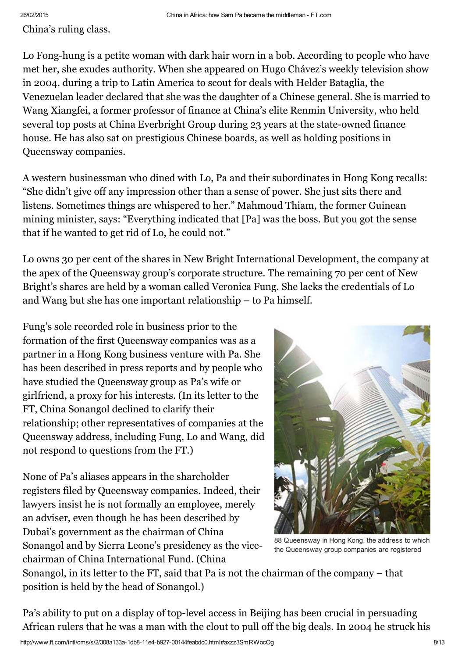China's ruling class.

Lo Fong-hung is a petite woman with dark hair worn in a bob. According to people who have met her, she exudes authority. When she appeared on Hugo Chávez's weekly television show in 2004, during a trip to Latin America to scout for deals with Helder Bataglia, the Venezuelan leader declared that she was the daughter of a Chinese general. She is married to Wang Xiangfei, a former professor of finance at China's elite Renmin University, who held several top posts at China [Everbright](http://www.ft.com/cms/s/340e0e24-1b8a-11e4-b649-00144feabdc0.html) Group during 23 years at the state-owned finance house. He has also sat on prestigious Chinese boards, as well as holding positions in Queensway companies.

A western businessman who dined with Lo, Pa and their subordinates in Hong Kong recalls: "She didn't give off any impression other than a sense of power. She just sits there and listens. Sometimes things are whispered to her." Mahmoud Thiam, the former Guinean mining minister, says: "Everything indicated that [Pa] was the boss. But you got the sense that if he wanted to get rid of Lo, he could not."

Lo owns 30 per cent of the shares in New Bright International Development, the company at the apex of the Queensway group's corporate structure. The remaining 70 per cent of New Bright's shares are held by a woman called Veronica Fung. She lacks the credentials of Lo and Wang but she has one important relationship – to Pa himself.

Fung's sole recorded role in business prior to the formation of the first Queensway companies was as a partner in a Hong Kong business venture with Pa. She has been described in press reports and by people who have studied the Queensway group as Pa's wife or girlfriend, a proxy for his interests. (In its letter to the FT, China Sonangol declined to clarify their relationship; other representatives of companies at the Queensway address, including Fung, Lo and Wang, did not respond to questions from the FT.)

None of Pa's aliases appears in the shareholder registers filed by Queensway companies. Indeed, their lawyers insist he is not formally an employee, merely an adviser, even though he has been described by Dubai's government as the chairman of China Sonangol and by Sierra Leone's presidency as the vicechairman of China International Fund. (China



88 Queensway in Hong Kong, the address to which the Queensway group companies are registered

Sonangol, in its letter to the FT, said that Pa is not the chairman of the company – that position is held by the head of Sonangol.)

Pa's ability to put on a display of top-level access in Beijing has been crucial in persuading African rulers that he was a man with the clout to pull off the big deals. In 2004 he struck his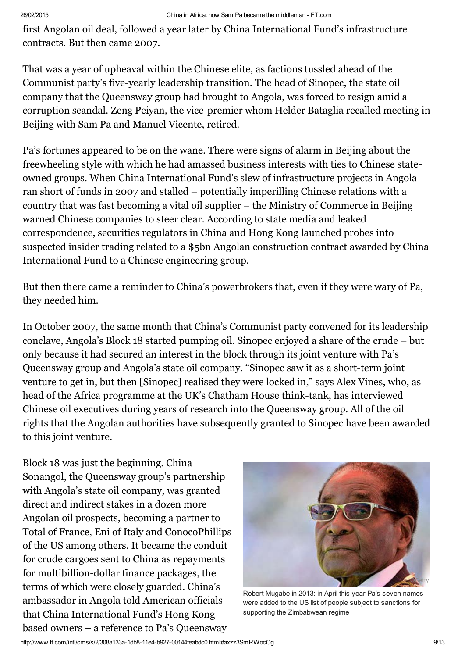first Angolan oil deal, followed a year later by China International Fund's infrastructure contracts. But then came 2007.

That was a year of upheaval within the Chinese elite, as factions tussled ahead of the Communist party's five-yearly leadership transition. The head of Sinopec, the state oil company that the Queensway group had brought to Angola, was forced to resign amid a corruption scandal. Zeng Peiyan, the vice-premier whom Helder Bataglia recalled meeting in Beijing with Sam Pa and Manuel Vicente, retired.

Pa's fortunes appeared to be on the wane. There were signs of alarm in Beijing about the freewheeling style with which he had amassed business interests with ties to Chinese stateowned groups. When China International Fund's slew of infrastructure projects in Angola ran short of funds in 2007 and stalled – potentially imperilling Chinese relations with a country that was fast becoming a vital oil supplier – the Ministry of Commerce in Beijing warned Chinese companies to steer clear. According to state media and leaked correspondence, securities regulators in China and Hong Kong launched probes into suspected insider trading related to a \$5bn Angolan construction contract awarded by China International Fund to a Chinese engineering group.

But then there came a reminder to China's powerbrokers that, even if they were wary of Pa, they needed him.

In October 2007, the same month that China's Communist party convened for its leadership conclave, Angola's Block 18 started pumping oil. Sinopec enjoyed a share of the crude – but only because it had secured an interest in the block through its joint venture with Pa's Queensway group and Angola's state oil company. "Sinopec saw it as a short-term joint venture to get in, but then [Sinopec] realised they were locked in," says Alex Vines, who, as head of the Africa programme at the UK's Chatham House think-tank, has interviewed Chinese oil executives during years of research into the Queensway group. All of the oil rights that the Angolan authorities have subsequently granted to Sinopec have been awarded to this joint venture.

Block 18 was just the beginning. China Sonangol, the Queensway group's partnership with Angola's state oil company, was granted direct and indirect stakes in a dozen more Angolan oil prospects, becoming a partner to Total of France, Eni of Italy and ConocoPhillips of the US among others. It became the conduit for crude cargoes sent to China as repayments for multibillion-dollar finance packages, the terms of which were closely guarded. China's ambassador in Angola told American officials that China International Fund's Hong Kongbased owners – a reference to Pa's Queensway



Robert Mugabe in 2013: in April this year Pa's seven names were added to the US list of people subject to sanctions for supporting the Zimbabwean regime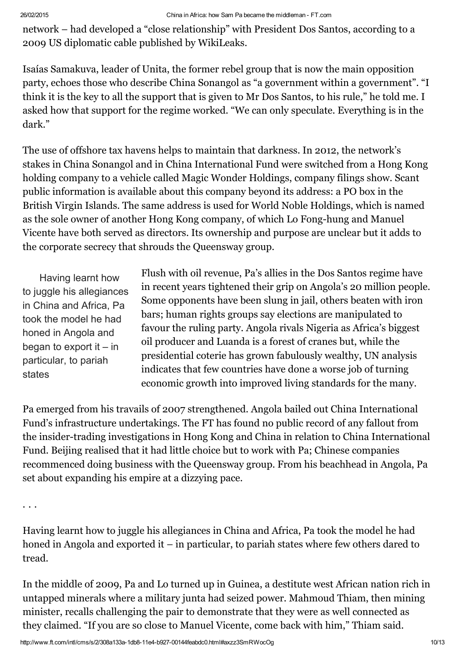network – had developed a "close relationship" with President Dos Santos, according to a 2009 US diplomatic cable published by WikiLeaks.

Isaías Samakuva, leader of Unita, the former rebel group that is now the main opposition party, echoes those who describe China Sonangol as "a government within a government". "I think it is the key to all the support that is given to Mr Dos Santos, to his rule," he told me. I asked how that support for the regime worked. "We can only speculate. Everything is in the dark."

The use of offshore tax havens helps to maintain that darkness. In 2012, the network's stakes in China Sonangol and in China International Fund were switched from a Hong Kong holding company to a vehicle called Magic Wonder Holdings, company filings show. Scant public information is available about this company beyond its address: a PO box in the British Virgin Islands. The same address is used for World Noble Holdings, which is named as the sole owner of another Hong Kong company, of which Lo Fong-hung and Manuel Vicente have both served as directors. Its ownership and purpose are unclear but it adds to the corporate secrecy that shrouds the Queensway group.

Having learnt how to juggle his allegiances in China and Africa, Pa took the model he had honed in Angola and began to export it  $-$  in particular, to pariah states

Flush with oil revenue, Pa's allies in the Dos Santos regime have in recent years tightened their grip on Angola's 20 million people. Some opponents have been slung in jail, others beaten with iron bars; human rights groups say elections are manipulated to favour the ruling party. Angola rivals Nigeria as Africa's biggest oil producer and Luanda is a forest of cranes but, while the presidential coterie has grown fabulously wealthy, UN analysis indicates that few countries have done a worse job of turning economic growth into improved living standards for the many.

Pa emerged from his travails of 2007 strengthened. Angola bailed out China International Fund's infrastructure undertakings. The FT has found no public record of any fallout from the insider-trading investigations in Hong Kong and China in relation to China International Fund. Beijing realised that it had little choice but to work with Pa; Chinese companies recommenced doing business with the Queensway group. From his beachhead in Angola, Pa set about expanding his empire at a dizzying pace.

. . .

Having learnt how to juggle his allegiances in China and Africa, Pa took the model he had honed in Angola and exported it – in particular, to pariah states where few others dared to tread.

In the middle of 2009, Pa and Lo turned up in Guinea, a destitute west African nation rich in untapped minerals where a military junta had seized power. Mahmoud Thiam, then mining minister, recalls challenging the pair to demonstrate that they were as well connected as they claimed. "If you are so close to Manuel Vicente, come back with him," Thiam said.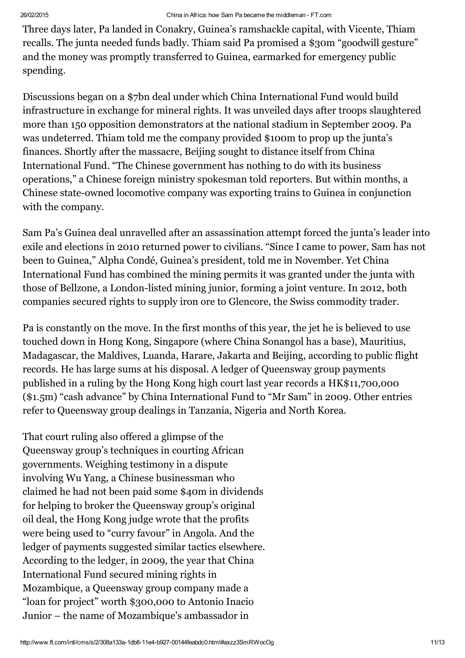Three days later, Pa landed in Conakry, Guinea's ramshackle capital, with Vicente, Thiam recalls. The junta needed funds badly. Thiam said Pa promised a \$30m "goodwill gesture" and the money was promptly transferred to Guinea, earmarked for emergency public spending.

Discussions began on a \$7bn deal under which China International Fund would build infrastructure in exchange for mineral rights. It was unveiled days after troops slaughtered more than 150 opposition demonstrators at the national stadium in September 2009. Pa was undeterred. Thiam told me the company provided \$100m to prop up the junta's finances. Shortly after the massacre, Beijing sought to distance itself from China International Fund. "The Chinese government has nothing to do with its business operations," a Chinese foreign ministry spokesman told reporters. But within months, a Chinese state-owned locomotive company was exporting trains to Guinea in conjunction with the company.

Sam Pa's Guinea deal unravelled after an assassination attempt forced the junta's leader into exile and elections in 2010 returned power to civilians. "Since I came to power, Sam has not been to Guinea," Alpha Condé, Guinea's president, told me in November. Yet China International Fund has combined the mining permits it was granted under the junta with those of Bellzone, a London-listed mining junior, forming a joint venture. In 2012, both companies secured rights to supply iron ore to Glencore, the Swiss commodity trader.

Pa is constantly on the move. In the first months of this year, the jet he is believed to use touched down in Hong Kong, Singapore (where China Sonangol has a base), Mauritius, Madagascar, the Maldives, Luanda, Harare, Jakarta and Beijing, according to public flight records. He has large sums at his disposal. A ledger of Queensway group payments published in a ruling by the Hong Kong high court last year records a HK\$11,700,000 (\$1.5m) "cash advance" by China International Fund to "Mr Sam" in 2009. Other entries refer to Queensway group dealings in Tanzania, Nigeria and North Korea.

That court ruling also offered a glimpse of the Queensway group's techniques in courting African governments. Weighing testimony in a dispute involving Wu Yang, a Chinese businessman who claimed he had not been paid some \$40m in dividends for helping to broker the Queensway group's original oil deal, the Hong Kong judge wrote that the profits were being used to "curry favour" in Angola. And the ledger of payments suggested similar tactics elsewhere. According to the ledger, in 2009, the year that China International Fund secured mining rights in Mozambique, a Queensway group company made a "loan for project" worth \$300,000 to Antonio Inacio Junior – the name of Mozambique's ambassador in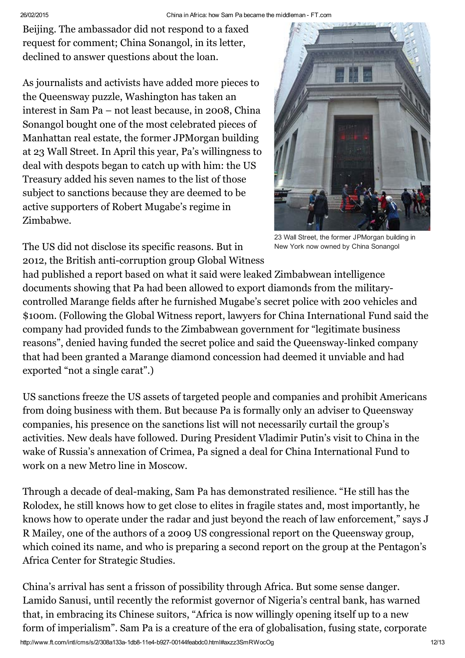Beijing. The ambassador did not respond to a faxed request for comment; China Sonangol, in its letter, declined to answer questions about the loan.

As journalists and activists have added more pieces to the Queensway puzzle, Washington has taken an interest in Sam Pa – not least because, in 2008, China Sonangol bought one of the most celebrated pieces of Manhattan real estate, the former JPMorgan building at 23 Wall Street. In April this year, Pa's willingness to deal with despots began to catch up with him: the US Treasury added his seven names to the list of those subject to sanctions because they are deemed to be active supporters of Robert Mugabe's regime in Zimbabwe.



23 Wall Street, the former JPMorgan building in New York now owned by China Sonangol

The US did not disclose its specific reasons. But in 2012, the British anti-corruption group Global Witness

had published a report based on what it said were leaked Zimbabwean intelligence documents showing that Pa had been allowed to export diamonds from the militarycontrolled Marange fields after he furnished Mugabe's secret police with 200 vehicles and \$100m. (Following the Global Witness report, lawyers for China International Fund said the company had provided funds to the Zimbabwean government for "legitimate business reasons", denied having funded the secret police and said the Queensway-linked company that had been granted a Marange diamond concession had deemed it unviable and had exported "not a single carat".)

US sanctions freeze the US assets of targeted people and companies and prohibit Americans from doing business with them. But because Pa is formally only an adviser to Queensway companies, his presence on the sanctions list will not necessarily curtail the group's activities. New deals have followed. During President Vladimir Putin's visit to China in the wake of Russia's annexation of Crimea, Pa signed a deal for China International Fund to work on a new Metro line in Moscow.

Through a decade of deal-making, Sam Pa has demonstrated resilience. "He still has the Rolodex, he still knows how to get close to elites in fragile states and, most importantly, he knows how to operate under the radar and just beyond the reach of law enforcement," says J R Mailey, one of the authors of a 2009 US congressional report on the Queensway group, which coined its name, and who is preparing a second report on the group at the Pentagon's Africa Center for Strategic Studies.

China's arrival has sent a frisson of possibility through Africa. But some sense danger. Lamido Sanusi, until recently the reformist governor of Nigeria's central bank, has warned that, in embracing its Chinese suitors, "Africa is now willingly opening itself up to a new form of imperialism". Sam Pa is a creature of the era of globalisation, fusing state, corporate